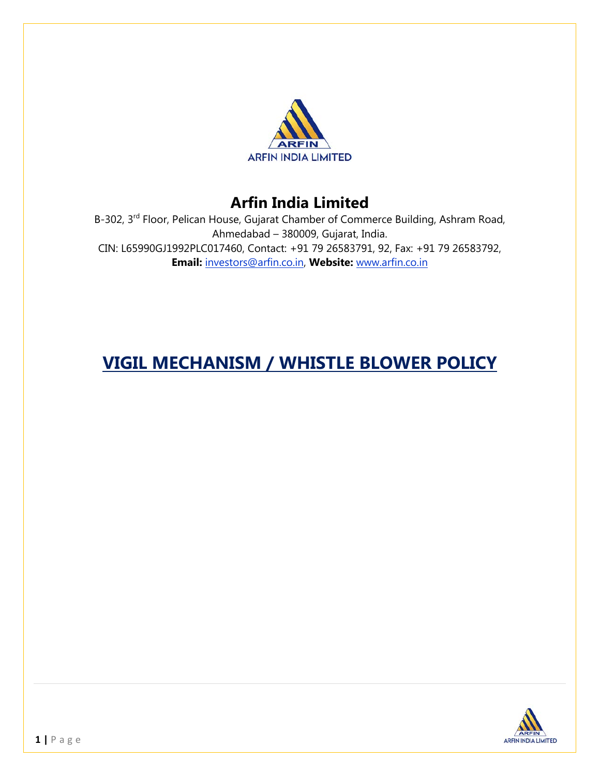

## **Arfin India Limited**

B-302, 3rd Floor, Pelican House, Gujarat Chamber of Commerce Building, Ashram Road, Ahmedabad – 380009, Gujarat, India. CIN: L65990GJ1992PLC017460, Contact: +91 79 26583791, 92, Fax: +91 79 26583792, **Email:** investors@arfin.co.in, **Website:** www.arfin.co.in

# **VIGIL MECHANISM / WHISTLE BLOWER POLICY**

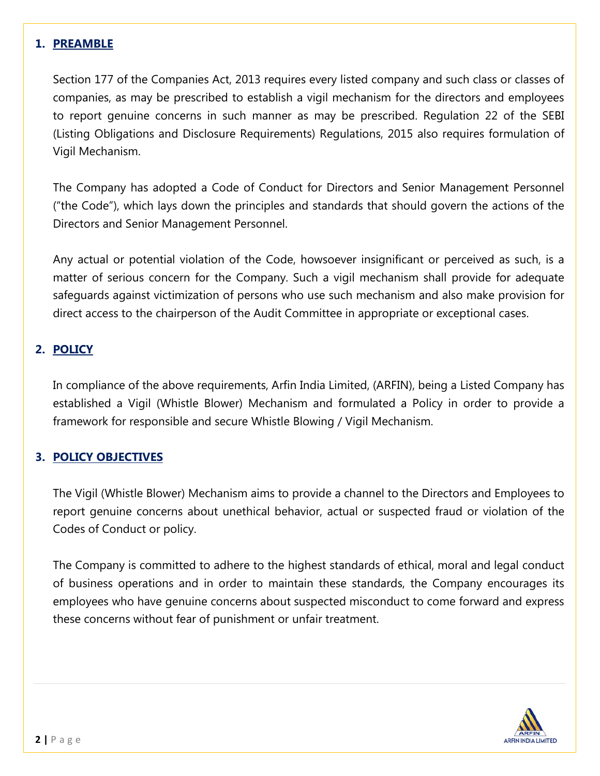#### **1. PREAMBLE**

Section 177 of the Companies Act, 2013 requires every listed company and such class or classes of companies, as may be prescribed to establish a vigil mechanism for the directors and employees to report genuine concerns in such manner as may be prescribed. Regulation 22 of the SEBI (Listing Obligations and Disclosure Requirements) Regulations, 2015 also requires formulation of Vigil Mechanism.

The Company has adopted a Code of Conduct for Directors and Senior Management Personnel ("the Code"), which lays down the principles and standards that should govern the actions of the Directors and Senior Management Personnel.

Any actual or potential violation of the Code, howsoever insignificant or perceived as such, is a matter of serious concern for the Company. Such a vigil mechanism shall provide for adequate safeguards against victimization of persons who use such mechanism and also make provision for direct access to the chairperson of the Audit Committee in appropriate or exceptional cases.

## **2. POLICY**

In compliance of the above requirements, Arfin India Limited, (ARFIN), being a Listed Company has established a Vigil (Whistle Blower) Mechanism and formulated a Policy in order to provide a framework for responsible and secure Whistle Blowing / Vigil Mechanism.

## **3. POLICY OBJECTIVES**

The Vigil (Whistle Blower) Mechanism aims to provide a channel to the Directors and Employees to report genuine concerns about unethical behavior, actual or suspected fraud or violation of the Codes of Conduct or policy.

The Company is committed to adhere to the highest standards of ethical, moral and legal conduct of business operations and in order to maintain these standards, the Company encourages its employees who have genuine concerns about suspected misconduct to come forward and express these concerns without fear of punishment or unfair treatment.

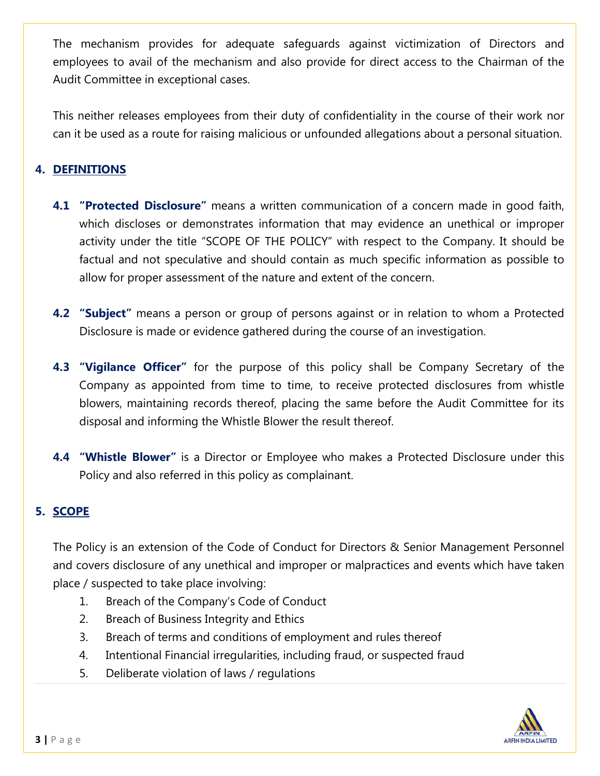The mechanism provides for adequate safeguards against victimization of Directors and employees to avail of the mechanism and also provide for direct access to the Chairman of the Audit Committee in exceptional cases.

This neither releases employees from their duty of confidentiality in the course of their work nor can it be used as a route for raising malicious or unfounded allegations about a personal situation.

## **4. DEFINITIONS**

- **4.1 "Protected Disclosure"** means a written communication of a concern made in good faith, which discloses or demonstrates information that may evidence an unethical or improper activity under the title "SCOPE OF THE POLICY" with respect to the Company. It should be factual and not speculative and should contain as much specific information as possible to allow for proper assessment of the nature and extent of the concern.
- **4.2 "Subject"** means a person or group of persons against or in relation to whom a Protected Disclosure is made or evidence gathered during the course of an investigation.
- **4.3 "Vigilance Officer"** for the purpose of this policy shall be Company Secretary of the Company as appointed from time to time, to receive protected disclosures from whistle blowers, maintaining records thereof, placing the same before the Audit Committee for its disposal and informing the Whistle Blower the result thereof.
- **4.4 "Whistle Blower"** is a Director or Employee who makes a Protected Disclosure under this Policy and also referred in this policy as complainant.

#### **5. SCOPE**

The Policy is an extension of the Code of Conduct for Directors & Senior Management Personnel and covers disclosure of any unethical and improper or malpractices and events which have taken place / suspected to take place involving:

- 1. Breach of the Company's Code of Conduct
- 2. Breach of Business Integrity and Ethics
- 3. Breach of terms and conditions of employment and rules thereof
- 4. Intentional Financial irregularities, including fraud, or suspected fraud
- 5. Deliberate violation of laws / regulations

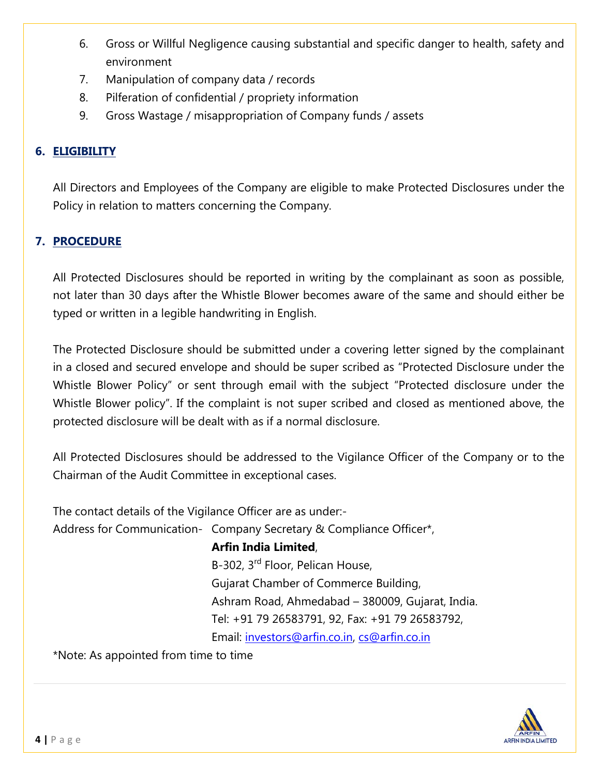- 6. Gross or Willful Negligence causing substantial and specific danger to health, safety and environment
- 7. Manipulation of company data / records
- 8. Pilferation of confidential / propriety information
- 9. Gross Wastage / misappropriation of Company funds / assets

## **6. ELIGIBILITY**

All Directors and Employees of the Company are eligible to make Protected Disclosures under the Policy in relation to matters concerning the Company.

## **7. PROCEDURE**

All Protected Disclosures should be reported in writing by the complainant as soon as possible, not later than 30 days after the Whistle Blower becomes aware of the same and should either be typed or written in a legible handwriting in English.

The Protected Disclosure should be submitted under a covering letter signed by the complainant in a closed and secured envelope and should be super scribed as "Protected Disclosure under the Whistle Blower Policy" or sent through email with the subject "Protected disclosure under the Whistle Blower policy". If the complaint is not super scribed and closed as mentioned above, the protected disclosure will be dealt with as if a normal disclosure.

All Protected Disclosures should be addressed to the Vigilance Officer of the Company or to the Chairman of the Audit Committee in exceptional cases.

The contact details of the Vigilance Officer are as under:-

Address for Communication- Company Secretary & Compliance Officer\*,

## **Arfin India Limited**,

B-302, 3rd Floor, Pelican House, Gujarat Chamber of Commerce Building, Ashram Road, Ahmedabad – 380009, Gujarat, India. Tel: +91 79 26583791, 92, Fax: +91 79 26583792, Email: [investors@arfin.co.in,](mailto:investors@arfin.co.in) [cs@arfin.co.in](mailto:cs@arfin.co.in)

\*Note: As appointed from time to time

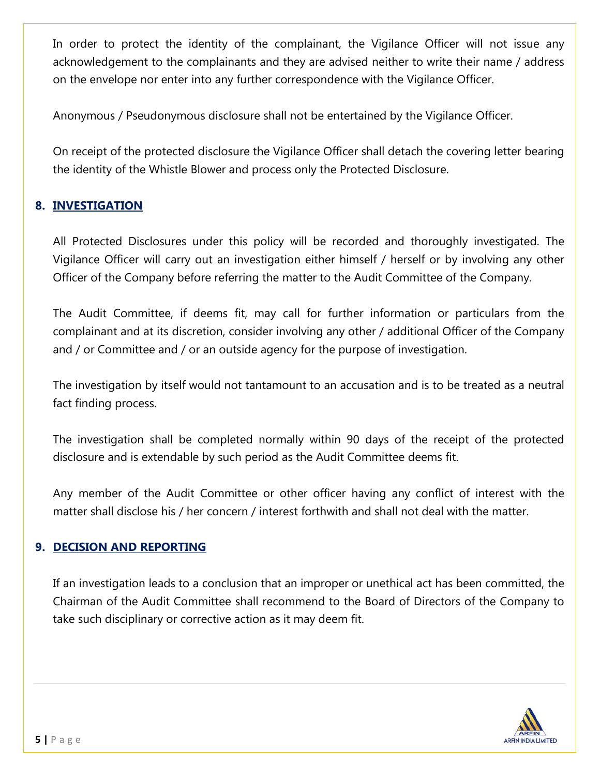In order to protect the identity of the complainant, the Vigilance Officer will not issue any acknowledgement to the complainants and they are advised neither to write their name / address on the envelope nor enter into any further correspondence with the Vigilance Officer.

Anonymous / Pseudonymous disclosure shall not be entertained by the Vigilance Officer.

On receipt of the protected disclosure the Vigilance Officer shall detach the covering letter bearing the identity of the Whistle Blower and process only the Protected Disclosure.

## **8. INVESTIGATION**

All Protected Disclosures under this policy will be recorded and thoroughly investigated. The Vigilance Officer will carry out an investigation either himself / herself or by involving any other Officer of the Company before referring the matter to the Audit Committee of the Company.

The Audit Committee, if deems fit, may call for further information or particulars from the complainant and at its discretion, consider involving any other / additional Officer of the Company and / or Committee and / or an outside agency for the purpose of investigation.

The investigation by itself would not tantamount to an accusation and is to be treated as a neutral fact finding process.

The investigation shall be completed normally within 90 days of the receipt of the protected disclosure and is extendable by such period as the Audit Committee deems fit.

Any member of the Audit Committee or other officer having any conflict of interest with the matter shall disclose his / her concern / interest forthwith and shall not deal with the matter.

## **9. DECISION AND REPORTING**

If an investigation leads to a conclusion that an improper or unethical act has been committed, the Chairman of the Audit Committee shall recommend to the Board of Directors of the Company to take such disciplinary or corrective action as it may deem fit.

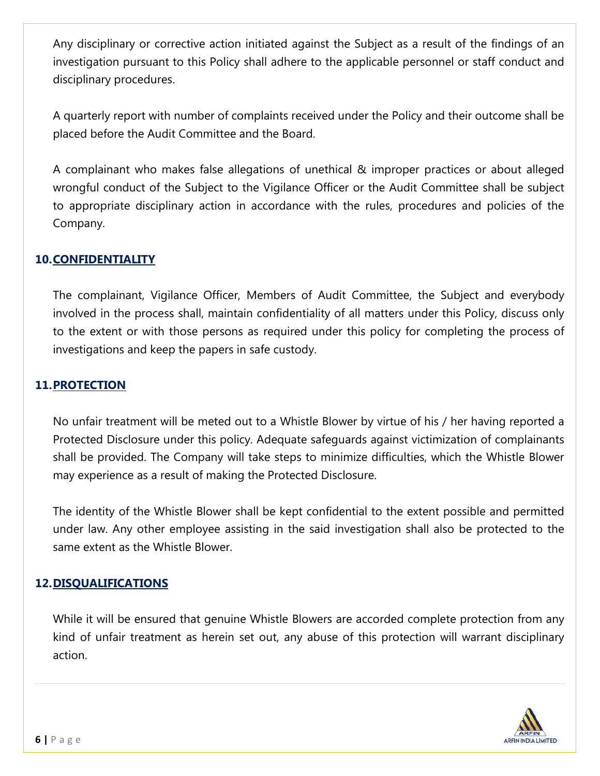Any disciplinary or corrective action initiated against the Subject as a result of the findings of an investigation pursuant to this Policy shall adhere to the applicable personnel or staff conduct and disciplinary procedures.

A quarterly report with number of complaints received under the Policy and their outcome shall be placed before the Audit Committee and the Board.

A complainant who makes false allegations of unethical & improper practices or about alleged wrongful conduct of the Subject to the Vigilance Officer or the Audit Committee shall be subject to appropriate disciplinary action in accordance with the rules, procedures and policies of the Company.

## **10.CONFIDENTIALITY**

The complainant, Vigilance Officer, Members of Audit Committee, the Subject and everybody involved in the process shall, maintain confidentiality of all matters under this Policy, discuss only to the extent or with those persons as required under this policy for completing the process of investigations and keep the papers in safe custody.

#### **11.PROTECTION**

No unfair treatment will be meted out to a Whistle Blower by virtue of his / her having reported a Protected Disclosure under this policy. Adequate safeguards against victimization of complainants shall be provided. The Company will take steps to minimize difficulties, which the Whistle Blower may experience as a result of making the Protected Disclosure.

The identity of the Whistle Blower shall be kept confidential to the extent possible and permitted under law. Any other employee assisting in the said investigation shall also be protected to the same extent as the Whistle Blower.

#### **12.DISQUALIFICATIONS**

While it will be ensured that genuine Whistle Blowers are accorded complete protection from any kind of unfair treatment as herein set out, any abuse of this protection will warrant disciplinary action.